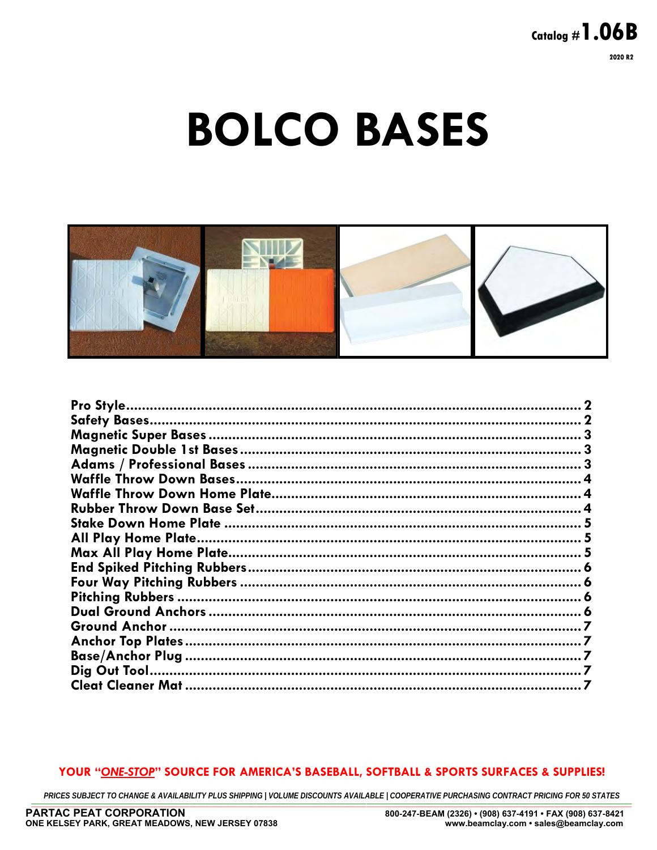# **BOLCO BASES**



## YOUR "ONE-STOP" SOURCE FOR AMERICA'S BASEBALL, SOFTBALL & SPORTS SURFACES & SUPPLIES!

PRICES SUBJECT TO CHANGE & AVAILABILITY PLUS SHIPPING | VOLUME DISCOUNTS AVAILABLE | COOPERATIVE PURCHASING CONTRACT PRICING FOR 50 STATES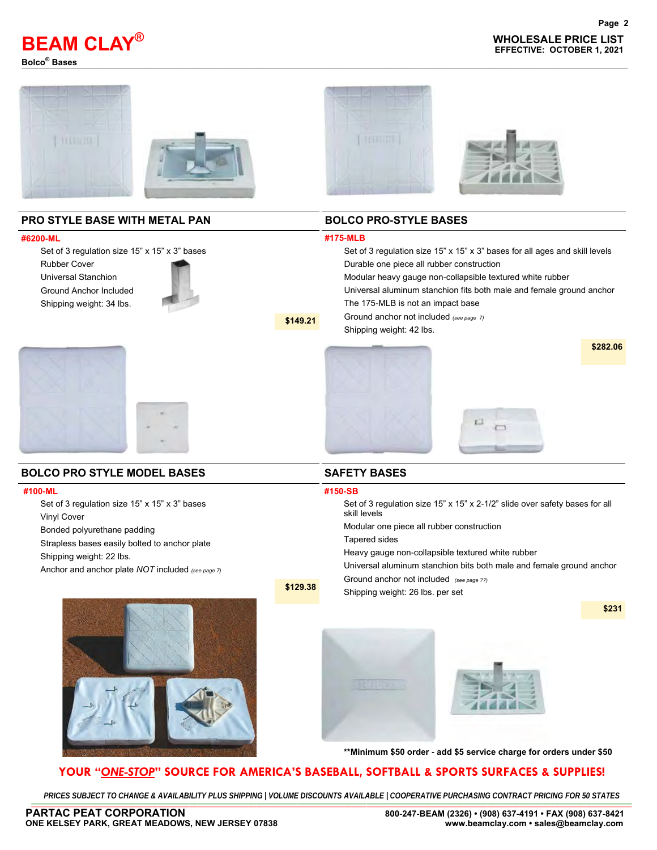

**WHOLESALE PRICE LIST BEAM CLAY EFFECTIVE: OCTOBER 1, 2021 ®**



**\$149.21**

**\$129.38**

## **PRO STYLE BASE WITH METAL PAN**

#### **#6200-ML**

Set of 3 regulation size 15" x 15" x 3" bases Rubber Cover Universal Stanchion Ground Anchor Included

Shipping weight: 34 lbs.



#### **BOLCO PRO-STYLE BASES**

#### **#175-MLB**

Set of 3 regulation size 15" x 15" x 3" bases for all ages and skill levels Durable one piece all rubber construction Modular heavy gauge non-collapsible textured white rubber Universal aluminum stanchion fits both male and female ground anchor The 175-MLB is not an impact base Ground anchor not included *(see page 7)* Shipping weight: 42 lbs. **\$282.06**



#### **BOLCO PRO STYLE MODEL BASES**

#### **#100-ML**

Set of 3 regulation size 15" x 15" x 3" bases Vinyl Cover

Bonded polyurethane padding

Strapless bases easily bolted to anchor plate

Shipping weight: 22 lbs.

Anchor and anchor plate *NOT* included *(see page 7)* 

#### **SAFETY BASES**

#### **#150-SB**

Set of 3 regulation size 15" x 15" x 2-1/2" slide over safety bases for all skill levels

Modular one piece all rubber construction

Tapered sides

Heavy gauge non-collapsible textured white rubber

Universal aluminum stanchion bits both male and female ground anchor Ground anchor not included *(see page ??)*

Shipping weight: 26 lbs. per set

**\$231**





**\*\*Minimum \$50 order - add \$5 service charge for orders under \$50**

## **YOUR "***ONE-STOP***" SOURCE FOR AMERICA'S BASEBALL, SOFTBALL & SPORTS SURFACES & SUPPLIES!**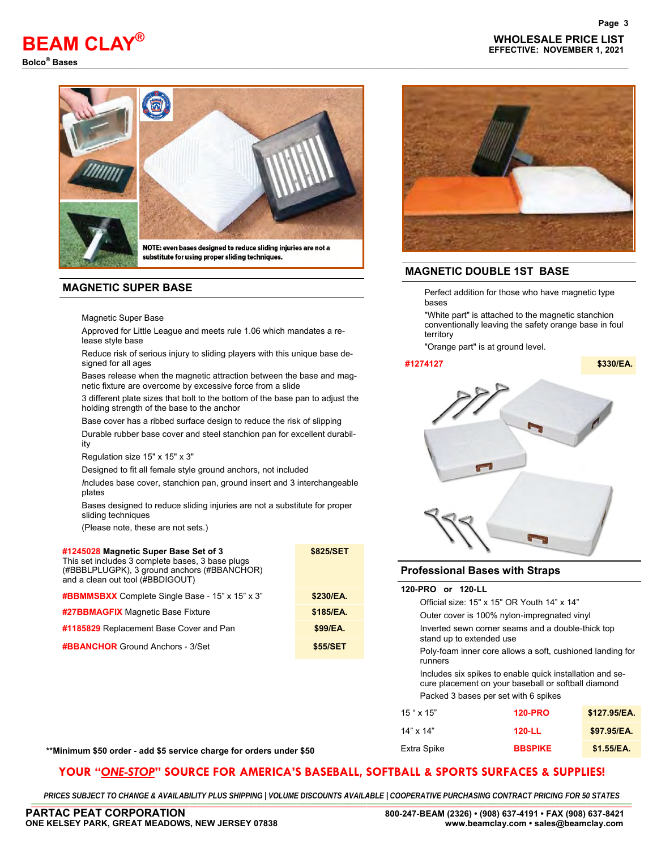## **WHOLESALE PRICE LIST BEAM CLAY EFFECTIVE: NOVEMBER 1, 2021 ®**

**Bolco® Bases** —————————————————————————————————————–———————————————————



substitute for using proper sliding techniques.

#### **MAGNETIC SUPER BASE**

Magnetic Super Base

Approved for Little League and meets rule 1.06 which mandates a release style base

Reduce risk of serious injury to sliding players with this unique base designed for all ages

Bases release when the magnetic attraction between the base and magnetic fixture are overcome by excessive force from a slide

3 different plate sizes that bolt to the bottom of the base pan to adjust the holding strength of the base to the anchor

Base cover has a ribbed surface design to reduce the risk of slipping

Durable rubber base cover and steel stanchion pan for excellent durability

Regulation size 15" x 15" x 3"

Designed to fit all female style ground anchors, not included

*I*ncludes base cover, stanchion pan, ground insert and 3 interchangeable plates

Bases designed to reduce sliding injuries are not a substitute for proper sliding techniques

(Please note, these are not sets.)

| #1245028 Magnetic Super Base Set of 3<br>This set includes 3 complete bases, 3 base plugs<br>(#BBBLPLUGPK), 3 ground anchors (#BBANCHOR)<br>and a clean out tool (#BBDIGOUT) | \$825/SET |  |
|------------------------------------------------------------------------------------------------------------------------------------------------------------------------------|-----------|--|
| <b>#BBMMSBXX</b> Complete Single Base - 15" x 15" x 3"                                                                                                                       | \$230/EA. |  |
| #27BBMAGFIX Magnetic Base Fixture                                                                                                                                            | \$185/EA. |  |
| #1185829 Replacement Base Cover and Pan                                                                                                                                      | \$99/EA.  |  |
| <b>#BBANCHOR</b> Ground Anchors - 3/Set                                                                                                                                      | \$55/SET  |  |
|                                                                                                                                                                              |           |  |



## **MAGNETIC DOUBLE 1ST BASE**

Perfect addition for those who have magnetic type bases

"White part" is attached to the magnetic stanchion conventionally leaving the safety orange base in foul territory

"Orange part" is at ground level.

#### **#1274127 \$330/EA.**



#### **Professional Bases with Straps**

| 120-PRO or 120-LL                                                                                               |                                      |              |  |  |
|-----------------------------------------------------------------------------------------------------------------|--------------------------------------|--------------|--|--|
| Official size: 15" x 15" OR Youth 14" x 14"                                                                     |                                      |              |  |  |
| Outer cover is 100% nylon-impregnated vinyl                                                                     |                                      |              |  |  |
| Inverted sewn corner seams and a double-thick top<br>stand up to extended use                                   |                                      |              |  |  |
| Poly-foam inner core allows a soft, cushioned landing for<br>runners                                            |                                      |              |  |  |
| Includes six spikes to enable quick installation and se-<br>cure placement on your baseball or softball diamond |                                      |              |  |  |
|                                                                                                                 | Packed 3 bases per set with 6 spikes |              |  |  |
| $15$ " x $15$ "                                                                                                 | <b>120-PRO</b>                       | \$127.95/EA. |  |  |
| $14" \times 14"$                                                                                                | 120-LL                               | \$97.95/EA.  |  |  |

| **Minimum \$50 order - add \$5 service charge for orders under \$50 | <i>≟</i> xtra Spike | <b>BBSPIKE</b> | \$1.55/EA. |
|---------------------------------------------------------------------|---------------------|----------------|------------|
|---------------------------------------------------------------------|---------------------|----------------|------------|

## **YOUR "***ONE-STOP***" SOURCE FOR AMERICA'S BASEBALL, SOFTBALL & SPORTS SURFACES & SUPPLIES!**

PRICES SUBJECT TO CHANGE & AVAILABILITY PLUS SHIPPING | VOLUME DISCOUNTS AVAILABLE | COOPERATIVE PURCHASING CONTRACT PRICING FOR 50 STATES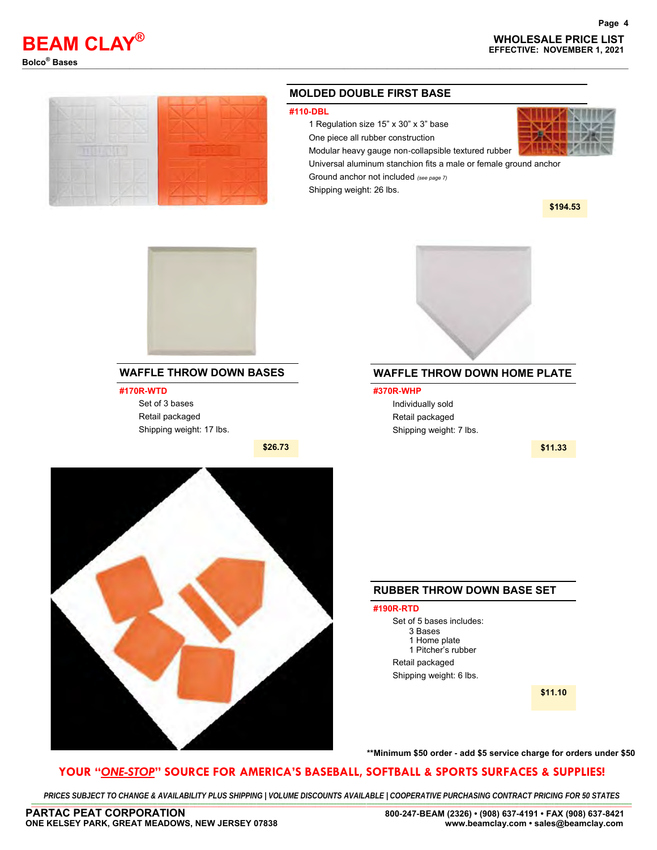

**Page 4**



#### **MOLDED DOUBLE FIRST BASE**

#### **#110-DBL**

1 Regulation size 15" x 30" x 3" base



Modular heavy gauge non-collapsible textured rubber Universal aluminum stanchion fits a male or female ground anchor

Ground anchor not included *(see page 7)* 

Shipping weight: 26 lbs.

**\$194.53**



## **WAFFLE THROW DOWN BASES**

**#170R-WTD**

Set of 3 bases Retail packaged Shipping weight: 17 lbs.





## **WAFFLE THROW DOWN HOME PLATE**

**#370R-WHP** Individually sold Retail packaged Shipping weight: 7 lbs.

**\$11.33**



## **RUBBER THROW DOWN BASE SET**

#### **#190R-RTD**

Set of 5 bases includes: 3 Bases 1 Home plate 1 Pitcher's rubber Retail packaged Shipping weight: 6 lbs.

**\$11.10**

#### **\*\*Minimum \$50 order - add \$5 service charge for orders under \$50**

#### **YOUR "***ONE-STOP***" SOURCE FOR AMERICA'S BASEBALL, SOFTBALL & SPORTS SURFACES & SUPPLIES!**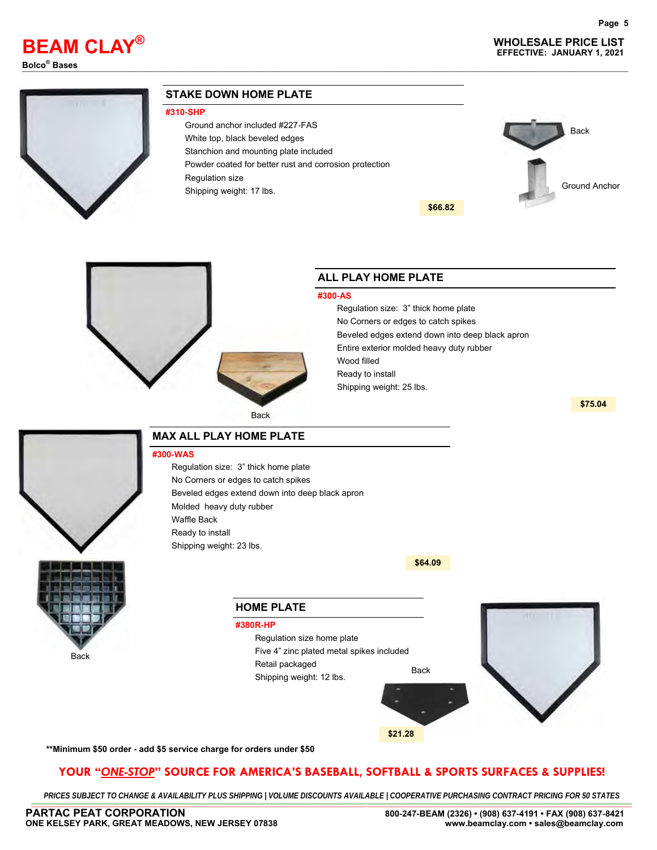## **WHOLESALE PRICE LIST BEAM CLAY EFFECTIVE: JANUARY 1, 2021 ®**

**Page 5**

**Bolco® Bases** —————————————————————————————————————–———————————————————



#### **STAKE DOWN HOME PLATE**

#### **#310-SHP**

- Ground anchor included #227-FAS
- White top, black beveled edges
	- Stanchion and mounting plate included
- Powder coated for better rust and corrosion protection
- Regulation size
- Shipping weight: 17 lbs.





## Back

## **ALL PLAY HOME PLATE**

#### **#300-AS**

Regulation size: 3" thick home plate No Corners or edges to catch spikes Beveled edges extend down into deep black apron Entire exterior molded heavy duty rubber Wood filled Ready to install Shipping weight: 25 lbs.

**\$66.82**

**\$75.04**



#### **MAX ALL PLAY HOME PLATE**

**#300-WAS**

Regulation size: 3" thick home plate No Corners or edges to catch spikes Beveled edges extend down into deep black apron Molded heavy duty rubber Waffle Back Ready to install Shipping weight: 23 lbs.



#### Back



**\$64.09**

**\*\*Minimum \$50 order - add \$5 service charge for orders under \$50**

## **YOUR "***ONE-STOP***" SOURCE FOR AMERICA'S BASEBALL, SOFTBALL & SPORTS SURFACES & SUPPLIES!**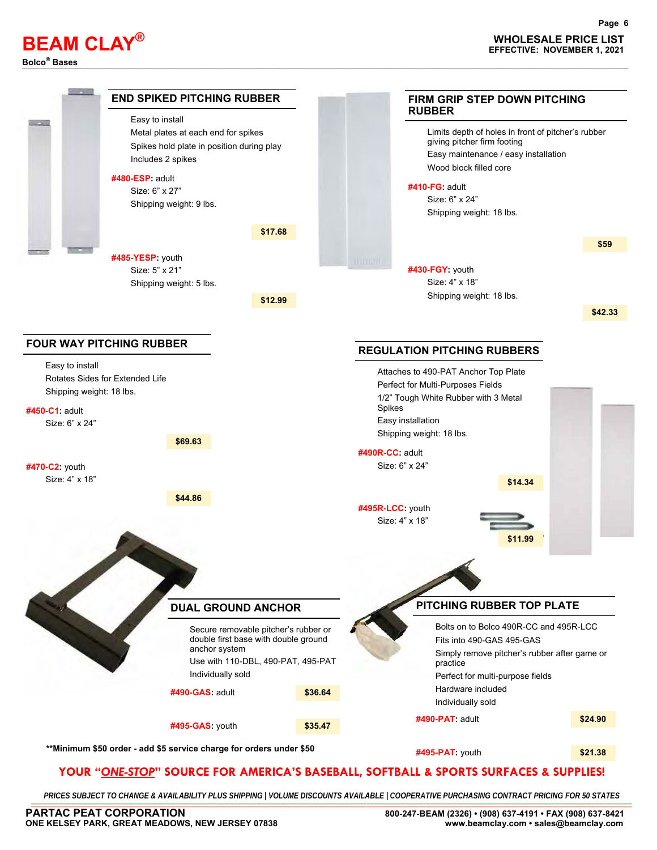# **Bolco® Bases** —————————————————————————————————————–———————————————————

**Page 6**



## **YOUR "***ONE-STOP***" SOURCE FOR AMERICA'S BASEBALL, SOFTBALL & SPORTS SURFACES & SUPPLIES!**